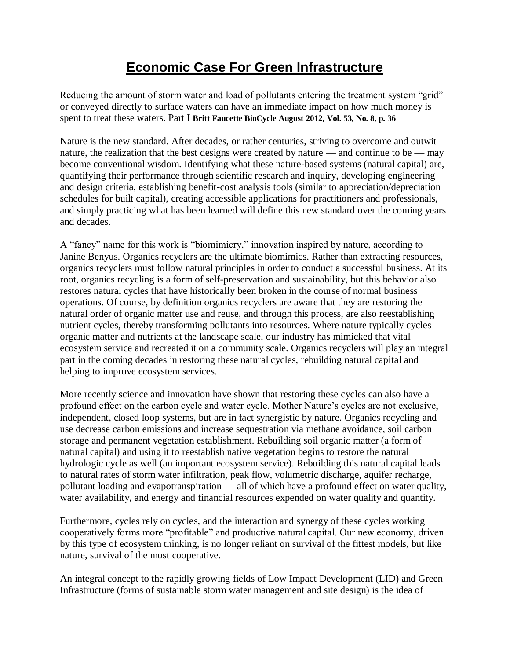# **Economic Case For Green Infrastructure**

Reducing the amount of storm water and load of pollutants entering the treatment system "grid" or conveyed directly to surface waters can have an immediate impact on how much money is spent to treat these waters. Part I **Britt Faucette BioCycle August 2012, Vol. 53, No. 8, p. 36**

Nature is the new standard. After decades, or rather centuries, striving to overcome and outwit nature, the realization that the best designs were created by nature — and continue to be — may become conventional wisdom. Identifying what these nature-based systems (natural capital) are, quantifying their performance through scientific research and inquiry, developing engineering and design criteria, establishing benefit-cost analysis tools (similar to appreciation/depreciation schedules for built capital), creating accessible applications for practitioners and professionals, and simply practicing what has been learned will define this new standard over the coming years and decades.

A "fancy" name for this work is "biomimicry," innovation inspired by nature, according to Janine Benyus. Organics recyclers are the ultimate biomimics. Rather than extracting resources, organics recyclers must follow natural principles in order to conduct a successful business. At its root, organics recycling is a form of self-preservation and sustainability, but this behavior also restores natural cycles that have historically been broken in the course of normal business operations. Of course, by definition organics recyclers are aware that they are restoring the natural order of organic matter use and reuse, and through this process, are also reestablishing nutrient cycles, thereby transforming pollutants into resources. Where nature typically cycles organic matter and nutrients at the landscape scale, our industry has mimicked that vital ecosystem service and recreated it on a community scale. Organics recyclers will play an integral part in the coming decades in restoring these natural cycles, rebuilding natural capital and helping to improve ecosystem services.

More recently science and innovation have shown that restoring these cycles can also have a profound effect on the carbon cycle and water cycle. Mother Nature's cycles are not exclusive, independent, closed loop systems, but are in fact synergistic by nature. Organics recycling and use decrease carbon emissions and increase sequestration via methane avoidance, soil carbon storage and permanent vegetation establishment. Rebuilding soil organic matter (a form of natural capital) and using it to reestablish native vegetation begins to restore the natural hydrologic cycle as well (an important ecosystem service). Rebuilding this natural capital leads to natural rates of storm water infiltration, peak flow, volumetric discharge, aquifer recharge, pollutant loading and evapotranspiration — all of which have a profound effect on water quality, water availability, and energy and financial resources expended on water quality and quantity.

Furthermore, cycles rely on cycles, and the interaction and synergy of these cycles working cooperatively forms more "profitable" and productive natural capital. Our new economy, driven by this type of ecosystem thinking, is no longer reliant on survival of the fittest models, but like nature, survival of the most cooperative.

An integral concept to the rapidly growing fields of Low Impact Development (LID) and Green Infrastructure (forms of sustainable storm water management and site design) is the idea of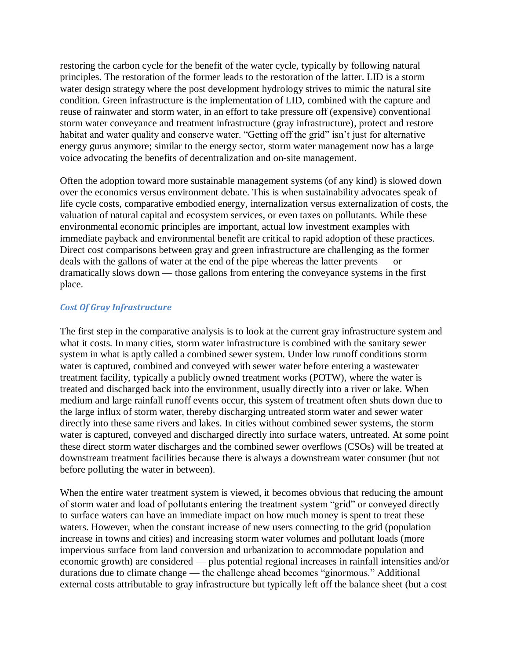restoring the carbon cycle for the benefit of the water cycle, typically by following natural principles. The restoration of the former leads to the restoration of the latter. LID is a storm water design strategy where the post development hydrology strives to mimic the natural site condition. Green infrastructure is the implementation of LID, combined with the capture and reuse of rainwater and storm water, in an effort to take pressure off (expensive) conventional storm water conveyance and treatment infrastructure (gray infrastructure), protect and restore habitat and water quality and conserve water. "Getting off the grid" isn't just for alternative energy gurus anymore; similar to the energy sector, storm water management now has a large voice advocating the benefits of decentralization and on-site management.

Often the adoption toward more sustainable management systems (of any kind) is slowed down over the economics versus environment debate. This is when sustainability advocates speak of life cycle costs, comparative embodied energy, internalization versus externalization of costs, the valuation of natural capital and ecosystem services, or even taxes on pollutants. While these environmental economic principles are important, actual low investment examples with immediate payback and environmental benefit are critical to rapid adoption of these practices. Direct cost comparisons between gray and green infrastructure are challenging as the former deals with the gallons of water at the end of the pipe whereas the latter prevents — or dramatically slows down — those gallons from entering the conveyance systems in the first place.

#### *Cost Of Gray Infrastructure*

The first step in the comparative analysis is to look at the current gray infrastructure system and what it costs. In many cities, storm water infrastructure is combined with the sanitary sewer system in what is aptly called a combined sewer system. Under low runoff conditions storm water is captured, combined and conveyed with sewer water before entering a wastewater treatment facility, typically a publicly owned treatment works (POTW), where the water is treated and discharged back into the environment, usually directly into a river or lake. When medium and large rainfall runoff events occur, this system of treatment often shuts down due to the large influx of storm water, thereby discharging untreated storm water and sewer water directly into these same rivers and lakes. In cities without combined sewer systems, the storm water is captured, conveyed and discharged directly into surface waters, untreated. At some point these direct storm water discharges and the combined sewer overflows (CSOs) will be treated at downstream treatment facilities because there is always a downstream water consumer (but not before polluting the water in between).

When the entire water treatment system is viewed, it becomes obvious that reducing the amount of storm water and load of pollutants entering the treatment system "grid" or conveyed directly to surface waters can have an immediate impact on how much money is spent to treat these waters. However, when the constant increase of new users connecting to the grid (population increase in towns and cities) and increasing storm water volumes and pollutant loads (more impervious surface from land conversion and urbanization to accommodate population and economic growth) are considered — plus potential regional increases in rainfall intensities and/or durations due to climate change — the challenge ahead becomes "ginormous." Additional external costs attributable to gray infrastructure but typically left off the balance sheet (but a cost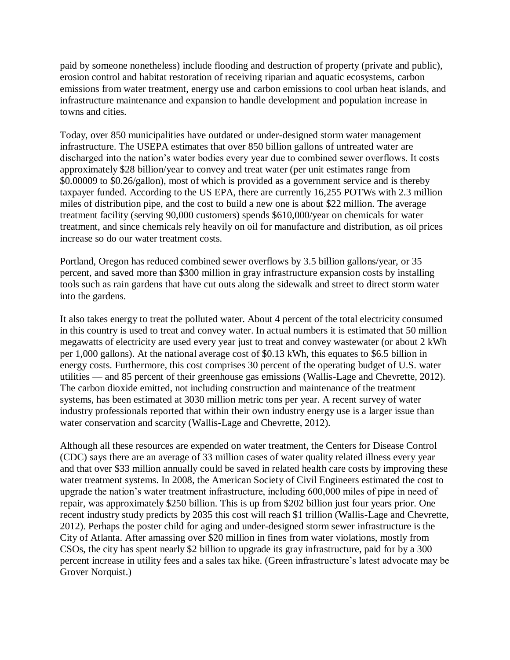paid by someone nonetheless) include flooding and destruction of property (private and public), erosion control and habitat restoration of receiving riparian and aquatic ecosystems, carbon emissions from water treatment, energy use and carbon emissions to cool urban heat islands, and infrastructure maintenance and expansion to handle development and population increase in towns and cities.

Today, over 850 municipalities have outdated or under-designed storm water management infrastructure. The USEPA estimates that over 850 billion gallons of untreated water are discharged into the nation's water bodies every year due to combined sewer overflows. It costs approximately \$28 billion/year to convey and treat water (per unit estimates range from \$0.00009 to \$0.26/gallon), most of which is provided as a government service and is thereby taxpayer funded. According to the US EPA, there are currently 16,255 POTWs with 2.3 million miles of distribution pipe, and the cost to build a new one is about \$22 million. The average treatment facility (serving 90,000 customers) spends \$610,000/year on chemicals for water treatment, and since chemicals rely heavily on oil for manufacture and distribution, as oil prices increase so do our water treatment costs.

Portland, Oregon has reduced combined sewer overflows by 3.5 billion gallons/year, or 35 percent, and saved more than \$300 million in gray infrastructure expansion costs by installing tools such as rain gardens that have cut outs along the sidewalk and street to direct storm water into the gardens.

It also takes energy to treat the polluted water. About 4 percent of the total electricity consumed in this country is used to treat and convey water. In actual numbers it is estimated that 50 million megawatts of electricity are used every year just to treat and convey wastewater (or about 2 kWh per 1,000 gallons). At the national average cost of \$0.13 kWh, this equates to \$6.5 billion in energy costs. Furthermore, this cost comprises 30 percent of the operating budget of U.S. water utilities — and 85 percent of their greenhouse gas emissions (Wallis-Lage and Chevrette, 2012). The carbon dioxide emitted, not including construction and maintenance of the treatment systems, has been estimated at 3030 million metric tons per year. A recent survey of water industry professionals reported that within their own industry energy use is a larger issue than water conservation and scarcity (Wallis-Lage and Chevrette, 2012).

Although all these resources are expended on water treatment, the Centers for Disease Control (CDC) says there are an average of 33 million cases of water quality related illness every year and that over \$33 million annually could be saved in related health care costs by improving these water treatment systems. In 2008, the American Society of Civil Engineers estimated the cost to upgrade the nation's water treatment infrastructure, including 600,000 miles of pipe in need of repair, was approximately \$250 billion. This is up from \$202 billion just four years prior. One recent industry study predicts by 2035 this cost will reach \$1 trillion (Wallis-Lage and Chevrette, 2012). Perhaps the poster child for aging and under-designed storm sewer infrastructure is the City of Atlanta. After amassing over \$20 million in fines from water violations, mostly from CSOs, the city has spent nearly \$2 billion to upgrade its gray infrastructure, paid for by a 300 percent increase in utility fees and a sales tax hike. (Green infrastructure's latest advocate may be Grover Norquist.)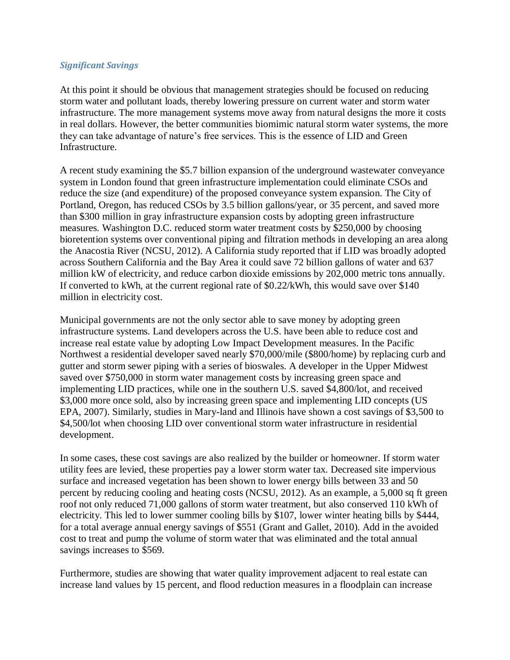#### *Significant Savings*

At this point it should be obvious that management strategies should be focused on reducing storm water and pollutant loads, thereby lowering pressure on current water and storm water infrastructure. The more management systems move away from natural designs the more it costs in real dollars. However, the better communities biomimic natural storm water systems, the more they can take advantage of nature's free services. This is the essence of LID and Green Infrastructure.

A recent study examining the \$5.7 billion expansion of the underground wastewater conveyance system in London found that green infrastructure implementation could eliminate CSOs and reduce the size (and expenditure) of the proposed conveyance system expansion. The City of Portland, Oregon, has reduced CSOs by 3.5 billion gallons/year, or 35 percent, and saved more than \$300 million in gray infrastructure expansion costs by adopting green infrastructure measures. Washington D.C. reduced storm water treatment costs by \$250,000 by choosing bioretention systems over conventional piping and filtration methods in developing an area along the Anacostia River (NCSU, 2012). A California study reported that if LID was broadly adopted across Southern California and the Bay Area it could save 72 billion gallons of water and 637 million kW of electricity, and reduce carbon dioxide emissions by 202,000 metric tons annually. If converted to kWh, at the current regional rate of \$0.22/kWh, this would save over \$140 million in electricity cost.

Municipal governments are not the only sector able to save money by adopting green infrastructure systems. Land developers across the U.S. have been able to reduce cost and increase real estate value by adopting Low Impact Development measures. In the Pacific Northwest a residential developer saved nearly \$70,000/mile (\$800/home) by replacing curb and gutter and storm sewer piping with a series of bioswales. A developer in the Upper Midwest saved over \$750,000 in storm water management costs by increasing green space and implementing LID practices, while one in the southern U.S. saved \$4,800/lot, and received \$3,000 more once sold, also by increasing green space and implementing LID concepts (US EPA, 2007). Similarly, studies in Mary-land and Illinois have shown a cost savings of \$3,500 to \$4,500/lot when choosing LID over conventional storm water infrastructure in residential development.

In some cases, these cost savings are also realized by the builder or homeowner. If storm water utility fees are levied, these properties pay a lower storm water tax. Decreased site impervious surface and increased vegetation has been shown to lower energy bills between 33 and 50 percent by reducing cooling and heating costs (NCSU, 2012). As an example, a 5,000 sq ft green roof not only reduced 71,000 gallons of storm water treatment, but also conserved 110 kWh of electricity. This led to lower summer cooling bills by \$107, lower winter heating bills by \$444, for a total average annual energy savings of \$551 (Grant and Gallet, 2010). Add in the avoided cost to treat and pump the volume of storm water that was eliminated and the total annual savings increases to \$569.

Furthermore, studies are showing that water quality improvement adjacent to real estate can increase land values by 15 percent, and flood reduction measures in a floodplain can increase